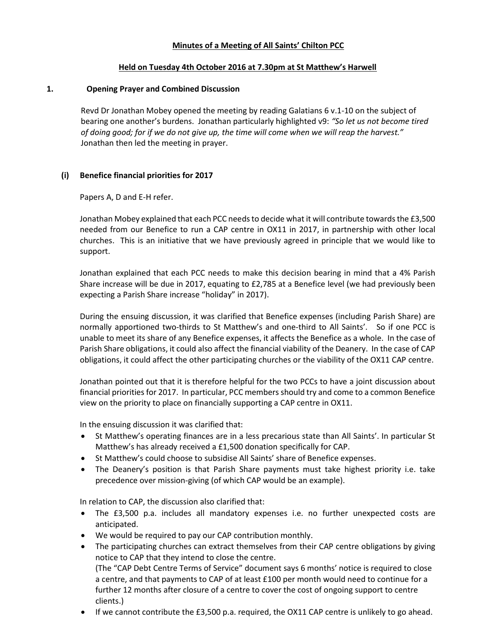### Minutes of a Meeting of All Saints' Chilton PCC

#### Held on Tuesday 4th October 2016 at 7.30pm at St Matthew's Harwell

#### 1. Opening Prayer and Combined Discussion

Revd Dr Jonathan Mobey opened the meeting by reading Galatians 6 v.1-10 on the subject of bearing one another's burdens. Jonathan particularly highlighted v9: "So let us not become tired of doing good; for if we do not give up, the time will come when we will reap the harvest." Jonathan then led the meeting in prayer.

### (i) Benefice financial priorities for 2017

Papers A, D and E-H refer.

Jonathan Mobey explained that each PCC needs to decide what it will contribute towards the £3,500 needed from our Benefice to run a CAP centre in OX11 in 2017, in partnership with other local churches. This is an initiative that we have previously agreed in principle that we would like to support.

Jonathan explained that each PCC needs to make this decision bearing in mind that a 4% Parish Share increase will be due in 2017, equating to £2,785 at a Benefice level (we had previously been expecting a Parish Share increase "holiday" in 2017).

During the ensuing discussion, it was clarified that Benefice expenses (including Parish Share) are normally apportioned two-thirds to St Matthew's and one-third to All Saints'. So if one PCC is unable to meet its share of any Benefice expenses, it affects the Benefice as a whole. In the case of Parish Share obligations, it could also affect the financial viability of the Deanery. In the case of CAP obligations, it could affect the other participating churches or the viability of the OX11 CAP centre.

Jonathan pointed out that it is therefore helpful for the two PCCs to have a joint discussion about financial priorities for 2017. In particular, PCC members should try and come to a common Benefice view on the priority to place on financially supporting a CAP centre in OX11.

In the ensuing discussion it was clarified that:

- St Matthew's operating finances are in a less precarious state than All Saints'. In particular St Matthew's has already received a £1,500 donation specifically for CAP.
- St Matthew's could choose to subsidise All Saints' share of Benefice expenses.
- The Deanery's position is that Parish Share payments must take highest priority i.e. take precedence over mission-giving (of which CAP would be an example).

In relation to CAP, the discussion also clarified that:

- The £3,500 p.a. includes all mandatory expenses i.e. no further unexpected costs are anticipated.
- We would be required to pay our CAP contribution monthly.
- The participating churches can extract themselves from their CAP centre obligations by giving notice to CAP that they intend to close the centre.

(The "CAP Debt Centre Terms of Service" document says 6 months' notice is required to close a centre, and that payments to CAP of at least £100 per month would need to continue for a further 12 months after closure of a centre to cover the cost of ongoing support to centre clients.)

If we cannot contribute the £3,500 p.a. required, the OX11 CAP centre is unlikely to go ahead.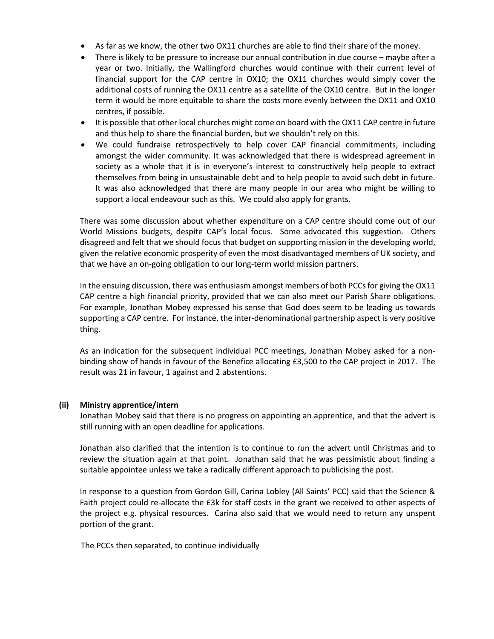- As far as we know, the other two OX11 churches are able to find their share of the money.
- There is likely to be pressure to increase our annual contribution in due course maybe after a year or two. Initially, the Wallingford churches would continue with their current level of financial support for the CAP centre in OX10; the OX11 churches would simply cover the additional costs of running the OX11 centre as a satellite of the OX10 centre. But in the longer term it would be more equitable to share the costs more evenly between the OX11 and OX10 centres, if possible.
- It is possible that other local churches might come on board with the OX11 CAP centre in future and thus help to share the financial burden, but we shouldn't rely on this.
- We could fundraise retrospectively to help cover CAP financial commitments, including amongst the wider community. It was acknowledged that there is widespread agreement in society as a whole that it is in everyone's interest to constructively help people to extract themselves from being in unsustainable debt and to help people to avoid such debt in future. It was also acknowledged that there are many people in our area who might be willing to support a local endeavour such as this. We could also apply for grants.

There was some discussion about whether expenditure on a CAP centre should come out of our World Missions budgets, despite CAP's local focus. Some advocated this suggestion. Others disagreed and felt that we should focus that budget on supporting mission in the developing world, given the relative economic prosperity of even the most disadvantaged members of UK society, and that we have an on-going obligation to our long-term world mission partners.

In the ensuing discussion, there was enthusiasm amongst members of both PCCs for giving the OX11 CAP centre a high financial priority, provided that we can also meet our Parish Share obligations. For example, Jonathan Mobey expressed his sense that God does seem to be leading us towards supporting a CAP centre. For instance, the inter-denominational partnership aspect is very positive thing.

As an indication for the subsequent individual PCC meetings, Jonathan Mobey asked for a nonbinding show of hands in favour of the Benefice allocating £3,500 to the CAP project in 2017. The result was 21 in favour, 1 against and 2 abstentions.

### (ii) Ministry apprentice/intern

Jonathan Mobey said that there is no progress on appointing an apprentice, and that the advert is still running with an open deadline for applications.

Jonathan also clarified that the intention is to continue to run the advert until Christmas and to review the situation again at that point. Jonathan said that he was pessimistic about finding a suitable appointee unless we take a radically different approach to publicising the post.

In response to a question from Gordon Gill, Carina Lobley (All Saints' PCC) said that the Science & Faith project could re-allocate the £3k for staff costs in the grant we received to other aspects of the project e.g. physical resources. Carina also said that we would need to return any unspent portion of the grant.

The PCCs then separated, to continue individually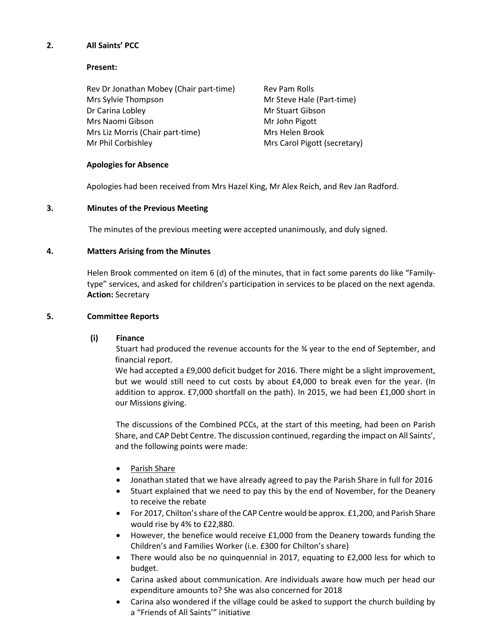## 2. All Saints' PCC

### Present:

Rev Dr Jonathan Mobey (Chair part-time) Rev Pam Rolls Mrs Sylvie Thompson **Mrs** Mrs Sylvie Thompson Mrs Sylvie Thompson Dr Carina Lobley **Mr Stuart Gibson** Mrs Naomi Gibson Mr John Pigott Mrs Liz Morris (Chair part-time) Mrs Helen Brook Mr Phil Corbishley Mrs Carol Pigott (secretary)

### Apologies for Absence

Apologies had been received from Mrs Hazel King, Mr Alex Reich, and Rev Jan Radford.

## 3. Minutes of the Previous Meeting

The minutes of the previous meeting were accepted unanimously, and duly signed.

## 4. Matters Arising from the Minutes

Helen Brook commented on item 6 (d) of the minutes, that in fact some parents do like "Familytype" services, and asked for children's participation in services to be placed on the next agenda. Action: Secretary

## 5. Committee Reports

### (i) Finance

Stuart had produced the revenue accounts for the  $\frac{3}{4}$  year to the end of September, and financial report.

We had accepted a £9,000 deficit budget for 2016. There might be a slight improvement, but we would still need to cut costs by about £4,000 to break even for the year. (In addition to approx. £7,000 shortfall on the path). In 2015, we had been £1,000 short in our Missions giving.

The discussions of the Combined PCCs, at the start of this meeting, had been on Parish Share, and CAP Debt Centre. The discussion continued, regarding the impact on All Saints', and the following points were made:

- Parish Share
- Jonathan stated that we have already agreed to pay the Parish Share in full for 2016
- Stuart explained that we need to pay this by the end of November, for the Deanery to receive the rebate
- For 2017, Chilton's share of the CAP Centre would be approx. £1,200, and Parish Share would rise by 4% to £22,880.
- However, the benefice would receive £1,000 from the Deanery towards funding the Children's and Families Worker (i.e. £300 for Chilton's share)
- There would also be no quinquennial in 2017, equating to £2,000 less for which to budget.
- Carina asked about communication. Are individuals aware how much per head our expenditure amounts to? She was also concerned for 2018
- Carina also wondered if the village could be asked to support the church building by a "Friends of All Saints'" initiative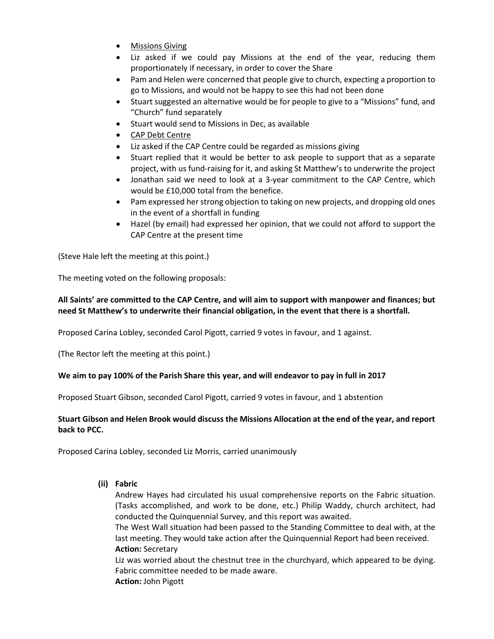- **•** Missions Giving
- Liz asked if we could pay Missions at the end of the year, reducing them proportionately if necessary, in order to cover the Share
- Pam and Helen were concerned that people give to church, expecting a proportion to go to Missions, and would not be happy to see this had not been done
- Stuart suggested an alternative would be for people to give to a "Missions" fund, and "Church" fund separately
- Stuart would send to Missions in Dec, as available
- CAP Debt Centre
- Liz asked if the CAP Centre could be regarded as missions giving
- Stuart replied that it would be better to ask people to support that as a separate project, with us fund-raising for it, and asking St Matthew's to underwrite the project
- Jonathan said we need to look at a 3-year commitment to the CAP Centre, which would be £10,000 total from the benefice.
- Pam expressed her strong objection to taking on new projects, and dropping old ones in the event of a shortfall in funding
- Hazel (by email) had expressed her opinion, that we could not afford to support the CAP Centre at the present time

(Steve Hale left the meeting at this point.)

The meeting voted on the following proposals:

# All Saints' are committed to the CAP Centre, and will aim to support with manpower and finances; but need St Matthew's to underwrite their financial obligation, in the event that there is a shortfall.

Proposed Carina Lobley, seconded Carol Pigott, carried 9 votes in favour, and 1 against.

(The Rector left the meeting at this point.)

### We aim to pay 100% of the Parish Share this year, and will endeavor to pay in full in 2017

Proposed Stuart Gibson, seconded Carol Pigott, carried 9 votes in favour, and 1 abstention

# Stuart Gibson and Helen Brook would discuss the Missions Allocation at the end of the year, and report back to PCC.

Proposed Carina Lobley, seconded Liz Morris, carried unanimously

(ii) Fabric

Andrew Hayes had circulated his usual comprehensive reports on the Fabric situation. (Tasks accomplished, and work to be done, etc.) Philip Waddy, church architect, had conducted the Quinquennial Survey, and this report was awaited.

The West Wall situation had been passed to the Standing Committee to deal with, at the last meeting. They would take action after the Quinquennial Report had been received. Action: Secretary

Liz was worried about the chestnut tree in the churchyard, which appeared to be dying. Fabric committee needed to be made aware. Action: John Pigott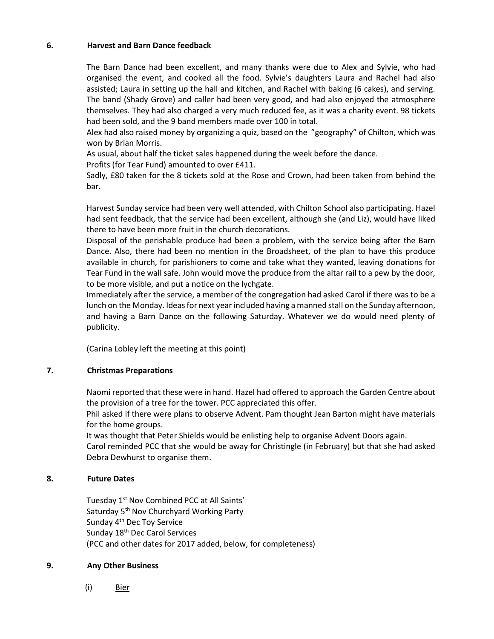#### 6. Harvest and Barn Dance feedback

The Barn Dance had been excellent, and many thanks were due to Alex and Sylvie, who had organised the event, and cooked all the food. Sylvie's daughters Laura and Rachel had also assisted; Laura in setting up the hall and kitchen, and Rachel with baking (6 cakes), and serving. The band (Shady Grove) and caller had been very good, and had also enjoyed the atmosphere themselves. They had also charged a very much reduced fee, as it was a charity event. 98 tickets had been sold, and the 9 band members made over 100 in total.

Alex had also raised money by organizing a quiz, based on the "geography" of Chilton, which was won by Brian Morris.

As usual, about half the ticket sales happened during the week before the dance.

Profits (for Tear Fund) amounted to over £411.

Sadly, £80 taken for the 8 tickets sold at the Rose and Crown, had been taken from behind the bar.

Harvest Sunday service had been very well attended, with Chilton School also participating. Hazel had sent feedback, that the service had been excellent, although she (and Liz), would have liked there to have been more fruit in the church decorations.

Disposal of the perishable produce had been a problem, with the service being after the Barn Dance. Also, there had been no mention in the Broadsheet, of the plan to have this produce available in church, for parishioners to come and take what they wanted, leaving donations for Tear Fund in the wall safe. John would move the produce from the altar rail to a pew by the door, to be more visible, and put a notice on the lychgate.

Immediately after the service, a member of the congregation had asked Carol if there was to be a lunch on the Monday. Ideas for next year included having a manned stall on the Sunday afternoon, and having a Barn Dance on the following Saturday. Whatever we do would need plenty of publicity.

(Carina Lobley left the meeting at this point)

# 7. Christmas Preparations

Naomi reported that these were in hand. Hazel had offered to approach the Garden Centre about the provision of a tree for the tower. PCC appreciated this offer.

Phil asked if there were plans to observe Advent. Pam thought Jean Barton might have materials for the home groups.

It was thought that Peter Shields would be enlisting help to organise Advent Doors again.

Carol reminded PCC that she would be away for Christingle (in February) but that she had asked Debra Dewhurst to organise them.

# 8. Future Dates

Tuesday 1<sup>st</sup> Nov Combined PCC at All Saints' Saturday 5<sup>th</sup> Nov Churchyard Working Party Sunday 4<sup>th</sup> Dec Toy Service Sunday 18th Dec Carol Services (PCC and other dates for 2017 added, below, for completeness)

### 9. Any Other Business

(i) Bier